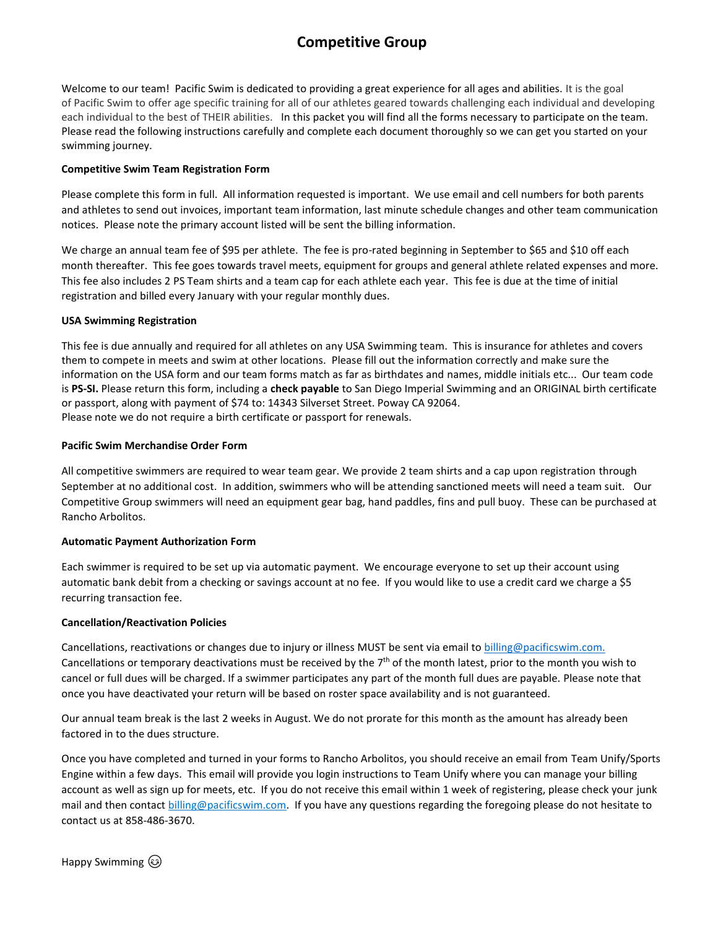### **Competitive Group**

Welcome to our team! Pacific Swim is dedicated to providing a great experience for all ages and abilities. It is the goal of Pacific Swim to offer age specific training for all of our athletes geared towards challenging each individual and developing each individual to the best of THEIR abilities. In this packet you will find all the forms necessary to participate on the team. Please read the following instructions carefully and complete each document thoroughly so we can get you started on your swimming journey.

#### **Competitive Swim Team Registration Form**

Please complete this form in full. All information requested is important. We use email and cell numbers for both parents and athletes to send out invoices, important team information, last minute schedule changes and other team communication notices. Please note the primary account listed will be sent the billing information.

We charge an annual team fee of \$95 per athlete. The fee is pro-rated beginning in September to \$65 and \$10 off each month thereafter. This fee goes towards travel meets, equipment for groups and general athlete related expenses and more. This fee also includes 2 PS Team shirts and a team cap for each athlete each year. This fee is due at the time of initial registration and billed every January with your regular monthly dues.

#### **USA Swimming Registration**

This fee is due annually and required for all athletes on any USA Swimming team. This is insurance for athletes and covers them to compete in meets and swim at other locations. Please fill out the information correctly and make sure the information on the USA form and our team forms match as far as birthdates and names, middle initials etc... Our team code is **PS-SI.** Please return this form, including a **check payable** to San Diego Imperial Swimming and an ORIGINAL birth certificate or passport, along with payment of \$74 to: 14343 Silverset Street. Poway CA 92064. Please note we do not require a birth certificate or passport for renewals.

#### **Pacific Swim Merchandise Order Form**

All competitive swimmers are required to wear team gear. We provide 2 team shirts and a cap upon registration through September at no additional cost. In addition, swimmers who will be attending sanctioned meets will need a team suit. Our Competitive Group swimmers will need an equipment gear bag, hand paddles, fins and pull buoy. These can be purchased at Rancho Arbolitos.

#### **Automatic Payment Authorization Form**

Each swimmer is required to be set up via automatic payment. We encourage everyone to set up their account using automatic bank debit from a checking or savings account at no fee. If you would like to use a credit card we charge a \$5 recurring transaction fee.

#### **Cancellation/Reactivation Policies**

Cancellations, reactivations or changes due to injury or illness MUST be sent via email to [billing@pacificswim.](mailto:Alex@pacificswim.com)com. Cancellations or temporary deactivations must be received by the  $7<sup>th</sup>$  of the month latest, prior to the month you wish to cancel or full dues will be charged. If a swimmer participates any part of the month full dues are payable. Please note that once you have deactivated your return will be based on roster space availability and is not guaranteed.

Our annual team break is the last 2 weeks in August. We do not prorate for this month as the amount has already been factored in to the dues structure.

Once you have completed and turned in your forms to Rancho Arbolitos, you should receive an email from [Team Unify/Sports](mailto:Team%20Unify/Sports%20Engine%20within%20a%20few%20days.%20%20This%20email%20will%20provide%20you%20login%20instructions%20to%20Team%20Unify%20where%20you%20can%20manage%20your%20billing%20account%20as%20well%20as%20sign%20up%20for%20meets,%20etc.%20%20If%20you%20do%20not%20receive%20this%20email%20within%201%20week%20of%20registering,%20please%20check%20your%20junk%20mail%20and%20then%20contact%20billing@pacificswim.com.)  [Engine within a few days. This email will provide you login instructions to Team Unify where you can manage your billing](mailto:Team%20Unify/Sports%20Engine%20within%20a%20few%20days.%20%20This%20email%20will%20provide%20you%20login%20instructions%20to%20Team%20Unify%20where%20you%20can%20manage%20your%20billing%20account%20as%20well%20as%20sign%20up%20for%20meets,%20etc.%20%20If%20you%20do%20not%20receive%20this%20email%20within%201%20week%20of%20registering,%20please%20check%20your%20junk%20mail%20and%20then%20contact%20billing@pacificswim.com.)  [account as well as sign up for meets, etc. If you do not receive this email within 1 week of registering, please check your junk](mailto:Team%20Unify/Sports%20Engine%20within%20a%20few%20days.%20%20This%20email%20will%20provide%20you%20login%20instructions%20to%20Team%20Unify%20where%20you%20can%20manage%20your%20billing%20account%20as%20well%20as%20sign%20up%20for%20meets,%20etc.%20%20If%20you%20do%20not%20receive%20this%20email%20within%201%20week%20of%20registering,%20please%20check%20your%20junk%20mail%20and%20then%20contact%20billing@pacificswim.com.)  [mail and then contact billing@pacificswim.com.](mailto:Team%20Unify/Sports%20Engine%20within%20a%20few%20days.%20%20This%20email%20will%20provide%20you%20login%20instructions%20to%20Team%20Unify%20where%20you%20can%20manage%20your%20billing%20account%20as%20well%20as%20sign%20up%20for%20meets,%20etc.%20%20If%20you%20do%20not%20receive%20this%20email%20within%201%20week%20of%20registering,%20please%20check%20your%20junk%20mail%20and%20then%20contact%20billing@pacificswim.com.) If you have any questions regarding the foregoing please do not hesitate to contact us at 858-486-3670.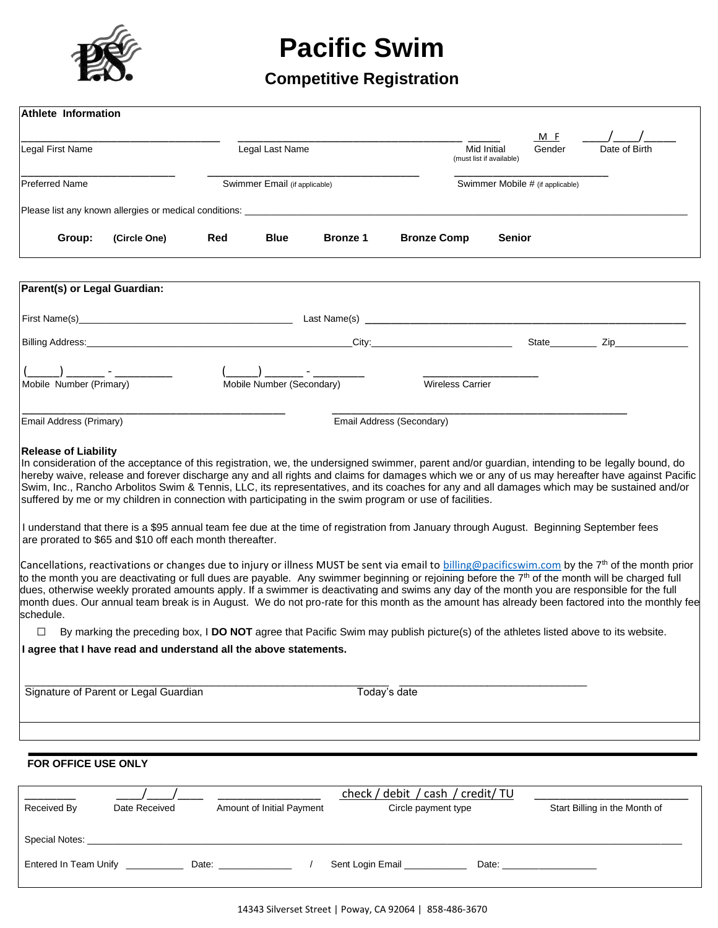

# **Pacific Swim**

## **Competitive Registration**

| <b>Athlete Information</b>                                        |                                                                                                                                                                                                                                                                                                                 |     |                               |                 |                           |                                                |                                  |                                                                                                                                                                                                                                                                                                                                                                                                                                                                                                                                                                                                                              |
|-------------------------------------------------------------------|-----------------------------------------------------------------------------------------------------------------------------------------------------------------------------------------------------------------------------------------------------------------------------------------------------------------|-----|-------------------------------|-----------------|---------------------------|------------------------------------------------|----------------------------------|------------------------------------------------------------------------------------------------------------------------------------------------------------------------------------------------------------------------------------------------------------------------------------------------------------------------------------------------------------------------------------------------------------------------------------------------------------------------------------------------------------------------------------------------------------------------------------------------------------------------------|
| Legal First Name                                                  |                                                                                                                                                                                                                                                                                                                 |     | Legal Last Name               |                 |                           | <b>Mid Initial</b><br>(must list if available) | M F<br>Gender                    | Date of Birth                                                                                                                                                                                                                                                                                                                                                                                                                                                                                                                                                                                                                |
| <b>Preferred Name</b>                                             |                                                                                                                                                                                                                                                                                                                 |     | Swimmer Email (if applicable) |                 |                           |                                                | Swimmer Mobile # (if applicable) |                                                                                                                                                                                                                                                                                                                                                                                                                                                                                                                                                                                                                              |
|                                                                   |                                                                                                                                                                                                                                                                                                                 |     |                               |                 |                           |                                                |                                  |                                                                                                                                                                                                                                                                                                                                                                                                                                                                                                                                                                                                                              |
| Group:                                                            | (Circle One)                                                                                                                                                                                                                                                                                                    | Red | <b>Blue</b>                   | <b>Bronze 1</b> | <b>Bronze Comp</b>        | <b>Senior</b>                                  |                                  |                                                                                                                                                                                                                                                                                                                                                                                                                                                                                                                                                                                                                              |
| Parent(s) or Legal Guardian:                                      |                                                                                                                                                                                                                                                                                                                 |     |                               |                 |                           |                                                |                                  |                                                                                                                                                                                                                                                                                                                                                                                                                                                                                                                                                                                                                              |
|                                                                   |                                                                                                                                                                                                                                                                                                                 |     |                               |                 |                           |                                                |                                  |                                                                                                                                                                                                                                                                                                                                                                                                                                                                                                                                                                                                                              |
|                                                                   |                                                                                                                                                                                                                                                                                                                 |     |                               |                 | City:                     |                                                |                                  | State Zip                                                                                                                                                                                                                                                                                                                                                                                                                                                                                                                                                                                                                    |
| Mobile Number (Primary)                                           |                                                                                                                                                                                                                                                                                                                 |     | Mobile Number (Secondary)     |                 | <b>Wireless Carrier</b>   |                                                |                                  |                                                                                                                                                                                                                                                                                                                                                                                                                                                                                                                                                                                                                              |
| Email Address (Primary)                                           |                                                                                                                                                                                                                                                                                                                 |     |                               |                 | Email Address (Secondary) |                                                |                                  |                                                                                                                                                                                                                                                                                                                                                                                                                                                                                                                                                                                                                              |
| <b>Release of Liability</b>                                       | suffered by me or my children in connection with participating in the swim program or use of facilities.<br>I understand that there is a \$95 annual team fee due at the time of registration from January through August. Beginning September fees<br>are prorated to \$65 and \$10 off each month thereafter. |     |                               |                 |                           |                                                |                                  | In consideration of the acceptance of this registration, we, the undersigned swimmer, parent and/or guardian, intending to be legally bound, do<br>hereby waive, release and forever discharge any and all rights and claims for damages which we or any of us may hereafter have against Pacific<br>Swim, Inc., Rancho Arbolitos Swim & Tennis, LLC, its representatives, and its coaches for any and all damages which may be sustained and/or                                                                                                                                                                             |
| lschedule.                                                        |                                                                                                                                                                                                                                                                                                                 |     |                               |                 |                           |                                                |                                  | Cancellations, reactivations or changes due to injury or illness MUST be sent via email to billing@pacificswim.com by the 7 <sup>th</sup> of the month prior<br>to the month you are deactivating or full dues are payable. Any swimmer beginning or rejoining before the 7 <sup>th</sup> of the month will be charged full<br>dues, otherwise weekly prorated amounts apply. If a swimmer is deactivating and swims any day of the month you are responsible for the full<br>month dues. Our annual team break is in August. We do not pro-rate for this month as the amount has already been factored into the monthly fee |
|                                                                   |                                                                                                                                                                                                                                                                                                                 |     |                               |                 |                           |                                                |                                  | By marking the preceding box, I DO NOT agree that Pacific Swim may publish picture(s) of the athletes listed above to its website.                                                                                                                                                                                                                                                                                                                                                                                                                                                                                           |
| I agree that I have read and understand all the above statements. |                                                                                                                                                                                                                                                                                                                 |     |                               |                 |                           |                                                |                                  |                                                                                                                                                                                                                                                                                                                                                                                                                                                                                                                                                                                                                              |
|                                                                   | Signature of Parent or Legal Guardian                                                                                                                                                                                                                                                                           |     |                               |                 | Today's date              |                                                |                                  |                                                                                                                                                                                                                                                                                                                                                                                                                                                                                                                                                                                                                              |
|                                                                   |                                                                                                                                                                                                                                                                                                                 |     |                               |                 |                           |                                                |                                  |                                                                                                                                                                                                                                                                                                                                                                                                                                                                                                                                                                                                                              |

#### **FOR OFFICE USE ONLY**

| Received By           | Date Received | Amount of Initial Payment | check / debit / cash / credit/ TU<br>Circle payment type |       | Start Billing in the Month of |
|-----------------------|---------------|---------------------------|----------------------------------------------------------|-------|-------------------------------|
| Special Notes:        |               |                           |                                                          |       |                               |
| Entered In Team Unify |               | Date:                     | Sent Login Email                                         | Date: |                               |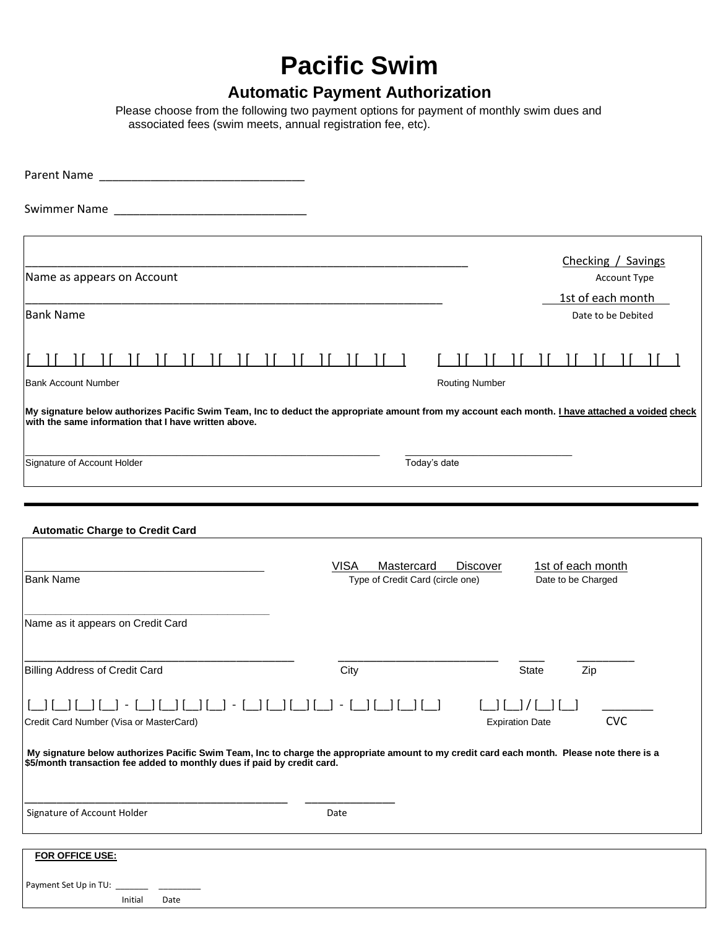## **Pacific Swim**

### **Automatic Payment Authorization**

Please choose from the following two payment options for payment of monthly swim dues and associated fees (swim meets, annual registration fee, etc).

| Name as appears on Account                                                                                                                                                                                            |                                                               | Checking / Savings<br>Account Type                         |
|-----------------------------------------------------------------------------------------------------------------------------------------------------------------------------------------------------------------------|---------------------------------------------------------------|------------------------------------------------------------|
| <b>Bank Name</b>                                                                                                                                                                                                      |                                                               | 1st of each month<br>Date to be Debited                    |
| $\mathbf{H}$<br><b>Bank Account Number</b>                                                                                                                                                                            | $\mathbf{11}$ $\mathbf{11}$<br>$\mathbf{H}$                   | <b>Routing Number</b>                                      |
| My signature below authorizes Pacific Swim Team, Inc to deduct the appropriate amount from my account each month. <i>Lhave attached a voided check</i><br>with the same information that I have written above.        |                                                               |                                                            |
| Signature of Account Holder                                                                                                                                                                                           |                                                               | Today's date                                               |
| <b>Automatic Charge to Credit Card</b><br><b>Bank Name</b>                                                                                                                                                            | <b>VISA</b><br>Mastercard<br>Type of Credit Card (circle one) | <b>Discover</b><br>1st of each month<br>Date to be Charged |
| Name as it appears on Credit Card                                                                                                                                                                                     |                                                               |                                                            |
| <b>Billing Address of Credit Card</b>                                                                                                                                                                                 | City                                                          | <b>State</b><br>Zip                                        |
| $\begin{bmatrix} 1 & 1 & 1 \\ 1 & 1 & 1 \end{bmatrix}$ . If if it<br>Credit Card Number (Visa or MasterCard)                                                                                                          | $\Box$ $\Box$                                                 | <b>CVC</b><br><b>Expiration Date</b>                       |
| My signature below authorizes Pacific Swim Team, Inc to charge the appropriate amount to my credit card each month. Please note there is a<br>\$5/month transaction fee added to monthly dues if paid by credit card. |                                                               |                                                            |
| Signature of Account Holder                                                                                                                                                                                           | Date                                                          |                                                            |
| FOR OFFICE USE:                                                                                                                                                                                                       |                                                               |                                                            |
| Payment Set Up in TU:<br>Initial<br>Date                                                                                                                                                                              |                                                               |                                                            |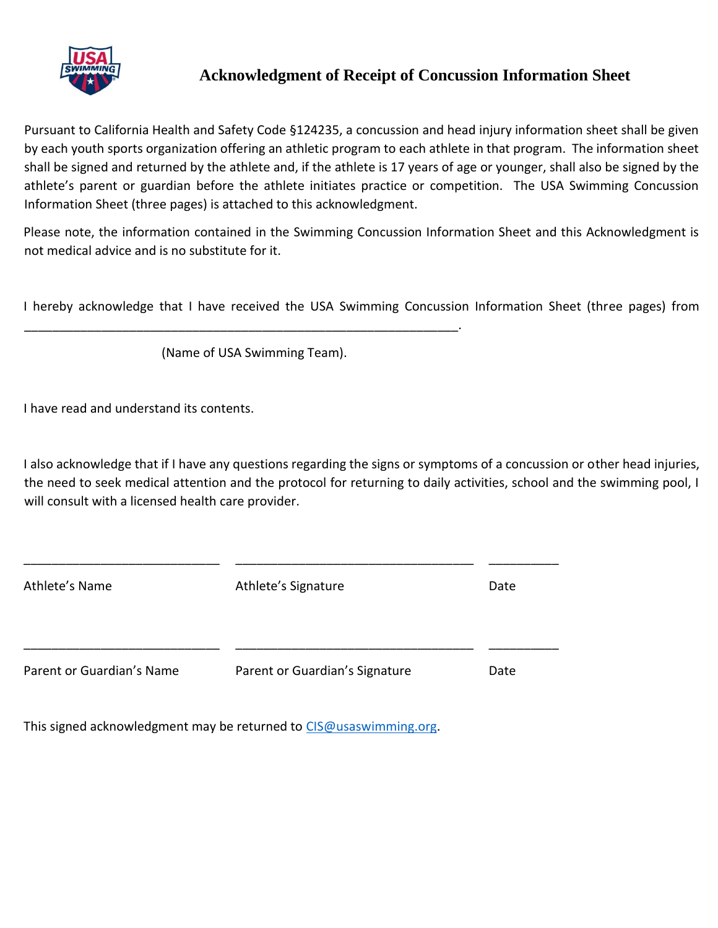

### **Acknowledgment of Receipt of Concussion Information Sheet**

Pursuant to California Health and Safety Code §124235, a concussion and head injury information sheet shall be given by each youth sports organization offering an athletic program to each athlete in that program. The information sheet shall be signed and returned by the athlete and, if the athlete is 17 years of age or younger, shall also be signed by the athlete's parent or guardian before the athlete initiates practice or competition. The USA Swimming Concussion Information Sheet (three pages) is attached to this acknowledgment.

Please note, the information contained in the Swimming Concussion Information Sheet and this Acknowledgment is not medical advice and is no substitute for it.

I hereby acknowledge that I have received the USA Swimming Concussion Information Sheet (three pages) from

(Name of USA Swimming Team).

\_\_\_\_\_\_\_\_\_\_\_\_\_\_\_\_\_\_\_\_\_\_\_\_\_\_\_\_\_\_\_\_\_\_\_\_\_\_\_\_\_\_\_\_\_\_\_\_\_\_\_\_\_\_\_\_\_\_\_\_\_\_.

I have read and understand its contents.

I also acknowledge that if I have any questions regarding the signs or symptoms of a concussion or other head injuries, the need to seek medical attention and the protocol for returning to daily activities, school and the swimming pool, I will consult with a licensed health care provider.

| Athlete's Name            | Athlete's Signature            | Date |
|---------------------------|--------------------------------|------|
| Parent or Guardian's Name | Parent or Guardian's Signature | Date |

\_\_\_\_\_\_\_\_\_\_\_\_\_\_\_\_\_\_\_\_\_\_\_\_\_\_\_\_ \_\_\_\_\_\_\_\_\_\_\_\_\_\_\_\_\_\_\_\_\_\_\_\_\_\_\_\_\_\_\_\_\_\_ \_\_\_\_\_\_\_\_\_\_

This signed acknowledgment may be returned to CIS@usaswimming.org.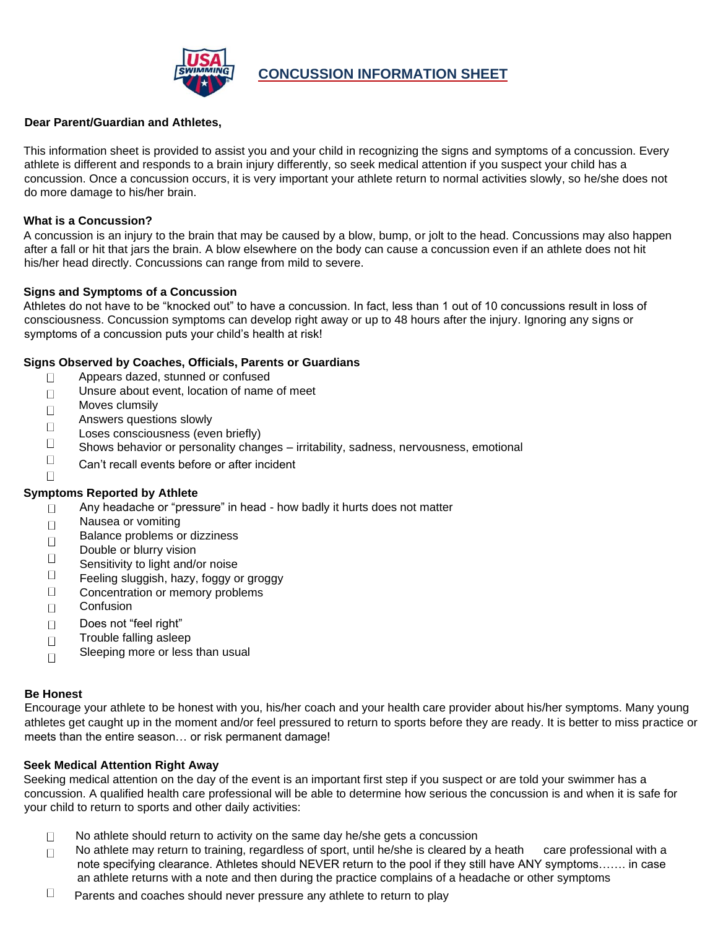

#### **Dear Parent/Guardian and Athletes,**

This information sheet is provided to assist you and your child in recognizing the signs and symptoms of a concussion. Every athlete is different and responds to a brain injury differently, so seek medical attention if you suspect your child has a concussion. Once a concussion occurs, it is very important your athlete return to normal activities slowly, so he/she does not do more damage to his/her brain.

#### **What is a Concussion?**

A concussion is an injury to the brain that may be caused by a blow, bump, or jolt to the head. Concussions may also happen after a fall or hit that jars the brain. A blow elsewhere on the body can cause a concussion even if an athlete does not hit his/her head directly. Concussions can range from mild to severe.

#### **Signs and Symptoms of a Concussion**

Athletes do not have to be "knocked out" to have a concussion. In fact, less than 1 out of 10 concussions result in loss of consciousness. Concussion symptoms can develop right away or up to 48 hours after the injury. Ignoring any signs or symptoms of a concussion puts your child's health at risk!

#### **Signs Observed by Coaches, Officials, Parents or Guardians**

- Appears dazed, stunned or confused  $\Box$
- Unsure about event, location of name of meet  $\Box$
- Moves clumsily  $\Box$
- Answers questions slowly  $\Box$
- Loses consciousness (even briefly)
- $\Box$ Shows behavior or personality changes – irritability, sadness, nervousness, emotional
- $\Box$ Can't recall events before or after incident
- $\Box$

#### **Symptoms Reported by Athlete**

- Any headache or "pressure" in head how badly it hurts does not matter  $\Box$
- Nausea or vomiting  $\Box$
- Balance problems or dizziness  $\Box$
- Double or blurry vision
- $\Box$ Sensitivity to light and/or noise
- $\Box$ Feeling sluggish, hazy, foggy or groggy
- $\Box$ Concentration or memory problems
- $\Box$ **Confusion**
- Does not "feel right"  $\Box$
- Trouble falling asleep  $\Box$
- Sleeping more or less than usual  $\Box$

#### **Be Honest**

Encourage your athlete to be honest with you, his/her coach and your health care provider about his/her symptoms. Many young athletes get caught up in the moment and/or feel pressured to return to sports before they are ready. It is better to miss practice or meets than the entire season… or risk permanent damage!

#### **Seek Medical Attention Right Away**

Seeking medical attention on the day of the event is an important first step if you suspect or are told your swimmer has a concussion. A qualified health care professional will be able to determine how serious the concussion is and when it is safe for your child to return to sports and other daily activities:

- $\Box$ No athlete should return to activity on the same day he/she gets a concussion
- No athlete may return to training, regardless of sport, until he/she is cleared by a heath care professional with a  $\Box$ note specifying clearance. Athletes should NEVER return to the pool if they still have ANY symptoms……. in case an athlete returns with a note and then during the practice complains of a headache or other symptoms
- $\Box$ Parents and coaches should never pressure any athlete to return to play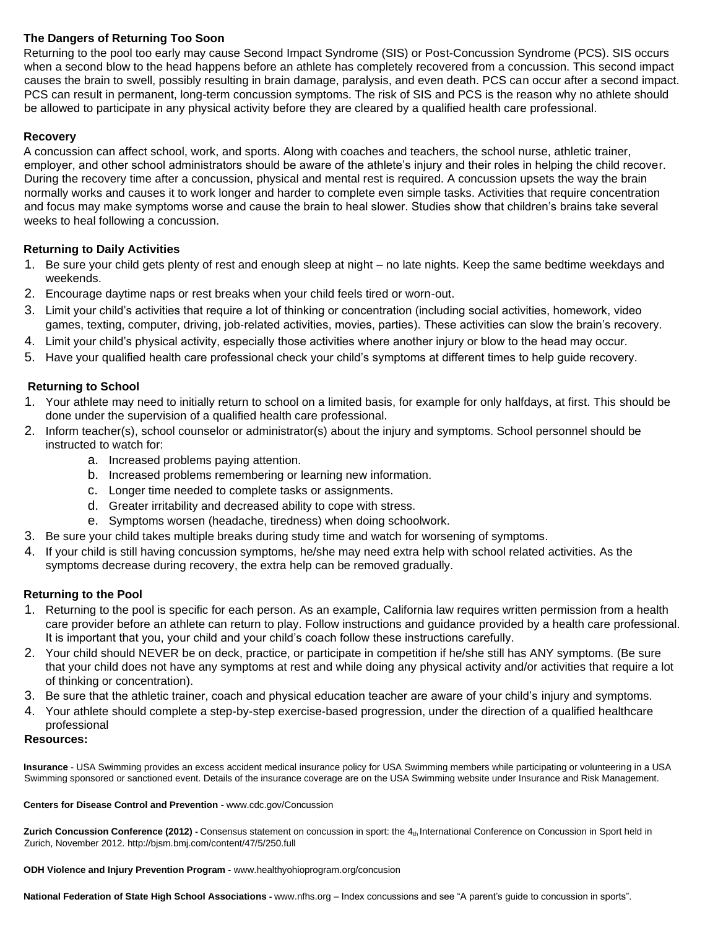#### **The Dangers of Returning Too Soon**

Returning to the pool too early may cause Second Impact Syndrome (SIS) or Post-Concussion Syndrome (PCS). SIS occurs when a second blow to the head happens before an athlete has completely recovered from a concussion. This second impact causes the brain to swell, possibly resulting in brain damage, paralysis, and even death. PCS can occur after a second impact. PCS can result in permanent, long-term concussion symptoms. The risk of SIS and PCS is the reason why no athlete should be allowed to participate in any physical activity before they are cleared by a qualified health care professional.

#### **Recovery**

A concussion can affect school, work, and sports. Along with coaches and teachers, the school nurse, athletic trainer, employer, and other school administrators should be aware of the athlete's injury and their roles in helping the child recover. During the recovery time after a concussion, physical and mental rest is required. A concussion upsets the way the brain normally works and causes it to work longer and harder to complete even simple tasks. Activities that require concentration and focus may make symptoms worse and cause the brain to heal slower. Studies show that children's brains take several weeks to heal following a concussion.

#### **Returning to Daily Activities**

- 1. Be sure your child gets plenty of rest and enough sleep at night no late nights. Keep the same bedtime weekdays and weekends.
- 2. Encourage daytime naps or rest breaks when your child feels tired or worn-out.
- 3. Limit your child's activities that require a lot of thinking or concentration (including social activities, homework, video games, texting, computer, driving, job-related activities, movies, parties). These activities can slow the brain's recovery.
- 4. Limit your child's physical activity, especially those activities where another injury or blow to the head may occur.
- 5. Have your qualified health care professional check your child's symptoms at different times to help guide recovery.

#### **Returning to School**

- 1. Your athlete may need to initially return to school on a limited basis, for example for only halfdays, at first. This should be done under the supervision of a qualified health care professional.
- 2. Inform teacher(s), school counselor or administrator(s) about the injury and symptoms. School personnel should be instructed to watch for:
	- a. Increased problems paying attention.
	- b. Increased problems remembering or learning new information.
	- c. Longer time needed to complete tasks or assignments.
	- d. Greater irritability and decreased ability to cope with stress.
	- e. Symptoms worsen (headache, tiredness) when doing schoolwork.
- 3. Be sure your child takes multiple breaks during study time and watch for worsening of symptoms.
- 4. If your child is still having concussion symptoms, he/she may need extra help with school related activities. As the symptoms decrease during recovery, the extra help can be removed gradually.

#### **Returning to the Pool**

- 1. Returning to the pool is specific for each person. As an example, California law requires written permission from a health care provider before an athlete can return to play. Follow instructions and guidance provided by a health care professional. It is important that you, your child and your child's coach follow these instructions carefully.
- 2. Your child should NEVER be on deck, practice, or participate in competition if he/she still has ANY symptoms. (Be sure that your child does not have any symptoms at rest and while doing any physical activity and/or activities that require a lot of thinking or concentration).
- 3. Be sure that the athletic trainer, coach and physical education teacher are aware of your child's injury and symptoms.
- 4. Your athlete should complete a step-by-step exercise-based progression, under the direction of a qualified healthcare professional

#### **Resources:**

**Insurance** - USA Swimming provides an excess accident medical insurance policy for USA Swimming members while participating or volunteering in a USA Swimming sponsored or sanctioned event. Details of the insurance coverage are on the USA Swimming website under Insurance and Risk Management.

#### **Centers for Disease Control and Prevention -** www.cdc.gov/Concussion

Zurich Concussion Conference (2012) - Consensus statement on concussion in sport: the 4th International Conference on Concussion in Sport held in Zurich, November 2012. http://bjsm.bmj.com/content/47/5/250.full

**ODH Violence and Injury Prevention Program -** www.healthyohioprogram.org/concusion

**National Federation of State High School Associations -** www.nfhs.org – Index concussions and see "A parent's guide to concussion in sports".